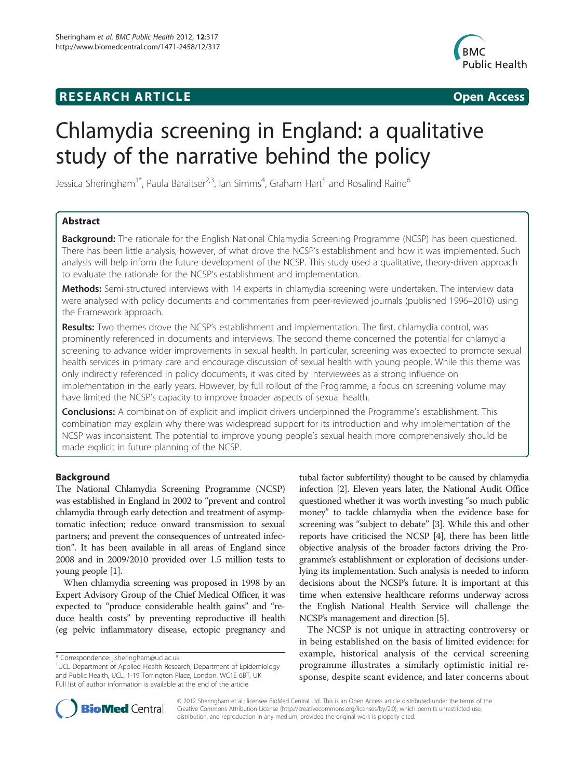# **RESEARCH ARTICLE Example 2014 CONSIDERING A RESEARCH ARTICLE**



# Chlamydia screening in England: a qualitative study of the narrative behind the policy

Jessica Sheringham<sup>1\*</sup>, Paula Baraitser<sup>2,3</sup>, Ian Simms<sup>4</sup>, Graham Hart<sup>5</sup> and Rosalind Raine<sup>6</sup>

# Abstract

Background: The rationale for the English National Chlamydia Screening Programme (NCSP) has been questioned. There has been little analysis, however, of what drove the NCSP's establishment and how it was implemented. Such analysis will help inform the future development of the NCSP. This study used a qualitative, theory-driven approach to evaluate the rationale for the NCSP's establishment and implementation.

Methods: Semi-structured interviews with 14 experts in chlamydia screening were undertaken. The interview data were analysed with policy documents and commentaries from peer-reviewed journals (published 1996–2010) using the Framework approach.

Results: Two themes drove the NCSP's establishment and implementation. The first, chlamydia control, was prominently referenced in documents and interviews. The second theme concerned the potential for chlamydia screening to advance wider improvements in sexual health. In particular, screening was expected to promote sexual health services in primary care and encourage discussion of sexual health with young people. While this theme was only indirectly referenced in policy documents, it was cited by interviewees as a strong influence on implementation in the early years. However, by full rollout of the Programme, a focus on screening volume may have limited the NCSP's capacity to improve broader aspects of sexual health.

**Conclusions:** A combination of explicit and implicit drivers underpinned the Programme's establishment. This combination may explain why there was widespread support for its introduction and why implementation of the NCSP was inconsistent. The potential to improve young people's sexual health more comprehensively should be made explicit in future planning of the NCSP.

# Background

The National Chlamydia Screening Programme (NCSP) was established in England in 2002 to "prevent and control chlamydia through early detection and treatment of asymptomatic infection; reduce onward transmission to sexual partners; and prevent the consequences of untreated infection". It has been available in all areas of England since 2008 and in 2009/2010 provided over 1.5 million tests to young people [[1\]](#page-9-0).

When chlamydia screening was proposed in 1998 by an Expert Advisory Group of the Chief Medical Officer, it was expected to "produce considerable health gains" and "reduce health costs" by preventing reproductive ill health (eg pelvic inflammatory disease, ectopic pregnancy and

tubal factor subfertility) thought to be caused by chlamydia infection [\[2\]](#page-9-0). Eleven years later, the National Audit Office questioned whether it was worth investing "so much public money" to tackle chlamydia when the evidence base for screening was "subject to debate" [\[3\]](#page-9-0). While this and other reports have criticised the NCSP [\[4\]](#page-9-0), there has been little objective analysis of the broader factors driving the Programme's establishment or exploration of decisions underlying its implementation. Such analysis is needed to inform decisions about the NCSP's future. It is important at this time when extensive healthcare reforms underway across the English National Health Service will challenge the NCSP's management and direction [\[5](#page-9-0)].

The NCSP is not unique in attracting controversy or in being established on the basis of limited evidence: for example, historical analysis of the cervical screening programme illustrates a similarly optimistic initial response, despite scant evidence, and later concerns about



© 2012 Sheringham et al.; licensee BioMed Central Ltd. This is an Open Access article distributed under the terms of the Creative Commons Attribution License (http://creativecommons.org/licenses/by/2.0), which permits unrestricted use, distribution, and reproduction in any medium, provided the original work is properly cited.

<sup>\*</sup> Correspondence: [j.sheringham@ucl.ac.uk](mailto:j.sheringham@ucl.ac.uk) <sup>1</sup>

<sup>&</sup>lt;sup>1</sup>UCL Department of Applied Health Research, Department of Epidemiology and Public Health, UCL, 1-19 Torrington Place, London, WC1E 6BT, UK Full list of author information is available at the end of the article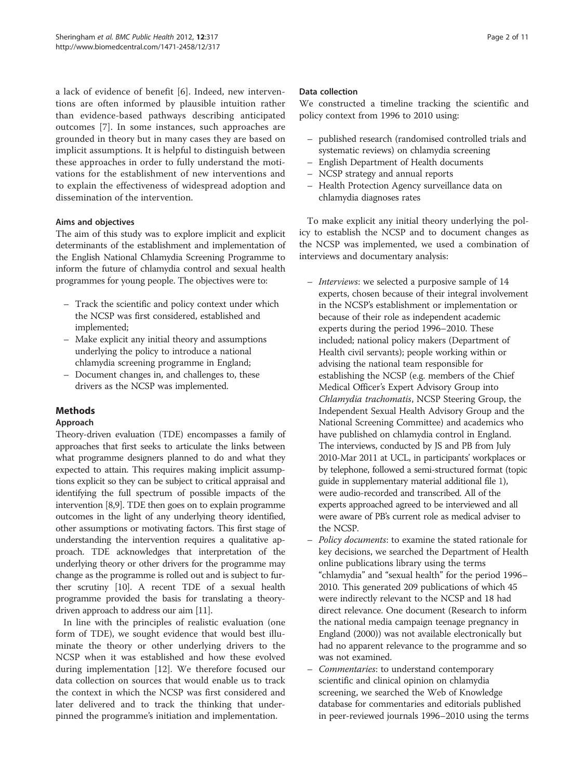a lack of evidence of benefit [[6\]](#page-9-0). Indeed, new interventions are often informed by plausible intuition rather than evidence-based pathways describing anticipated outcomes [\[7](#page-9-0)]. In some instances, such approaches are grounded in theory but in many cases they are based on implicit assumptions. It is helpful to distinguish between these approaches in order to fully understand the motivations for the establishment of new interventions and to explain the effectiveness of widespread adoption and dissemination of the intervention.

# Aims and objectives

The aim of this study was to explore implicit and explicit determinants of the establishment and implementation of the English National Chlamydia Screening Programme to inform the future of chlamydia control and sexual health programmes for young people. The objectives were to:

- Track the scientific and policy context under which the NCSP was first considered, established and implemented;
- Make explicit any initial theory and assumptions underlying the policy to introduce a national chlamydia screening programme in England;
- Document changes in, and challenges to, these drivers as the NCSP was implemented.

# Methods

# Approach

Theory-driven evaluation (TDE) encompasses a family of approaches that first seeks to articulate the links between what programme designers planned to do and what they expected to attain. This requires making implicit assumptions explicit so they can be subject to critical appraisal and identifying the full spectrum of possible impacts of the intervention [\[8,9\]](#page-9-0). TDE then goes on to explain programme outcomes in the light of any underlying theory identified, other assumptions or motivating factors. This first stage of understanding the intervention requires a qualitative approach. TDE acknowledges that interpretation of the underlying theory or other drivers for the programme may change as the programme is rolled out and is subject to further scrutiny [\[10](#page-9-0)]. A recent TDE of a sexual health programme provided the basis for translating a theorydriven approach to address our aim [\[11](#page-9-0)].

In line with the principles of realistic evaluation (one form of TDE), we sought evidence that would best illuminate the theory or other underlying drivers to the NCSP when it was established and how these evolved during implementation [\[12](#page-9-0)]. We therefore focused our data collection on sources that would enable us to track the context in which the NCSP was first considered and later delivered and to track the thinking that underpinned the programme's initiation and implementation.

# Data collection

We constructed a timeline tracking the scientific and policy context from 1996 to 2010 using:

- published research (randomised controlled trials and systematic reviews) on chlamydia screening
- English Department of Health documents
- NCSP strategy and annual reports
- Health Protection Agency surveillance data on chlamydia diagnoses rates

To make explicit any initial theory underlying the policy to establish the NCSP and to document changes as the NCSP was implemented, we used a combination of interviews and documentary analysis:

- Interviews: we selected a purposive sample of 14 experts, chosen because of their integral involvement in the NCSP's establishment or implementation or because of their role as independent academic experts during the period 1996–2010. These included; national policy makers (Department of Health civil servants); people working within or advising the national team responsible for establishing the NCSP (e.g. members of the Chief Medical Officer's Expert Advisory Group into Chlamydia trachomatis, NCSP Steering Group, the Independent Sexual Health Advisory Group and the National Screening Committee) and academics who have published on chlamydia control in England. The interviews, conducted by JS and PB from July 2010-Mar 2011 at UCL, in participants' workplaces or by telephone, followed a semi-structured format (topic guide in supplementary material additional file [1](#page-8-0)), were audio-recorded and transcribed. All of the experts approached agreed to be interviewed and all were aware of PB's current role as medical adviser to the NCSP.
- Policy documents: to examine the stated rationale for key decisions, we searched the Department of Health online publications library using the terms "chlamydia" and "sexual health" for the period 1996– 2010. This generated 209 publications of which 45 were indirectly relevant to the NCSP and 18 had direct relevance. One document (Research to inform the national media campaign teenage pregnancy in England (2000)) was not available electronically but had no apparent relevance to the programme and so was not examined.
- Commentaries: to understand contemporary scientific and clinical opinion on chlamydia screening, we searched the Web of Knowledge database for commentaries and editorials published in peer-reviewed journals 1996–2010 using the terms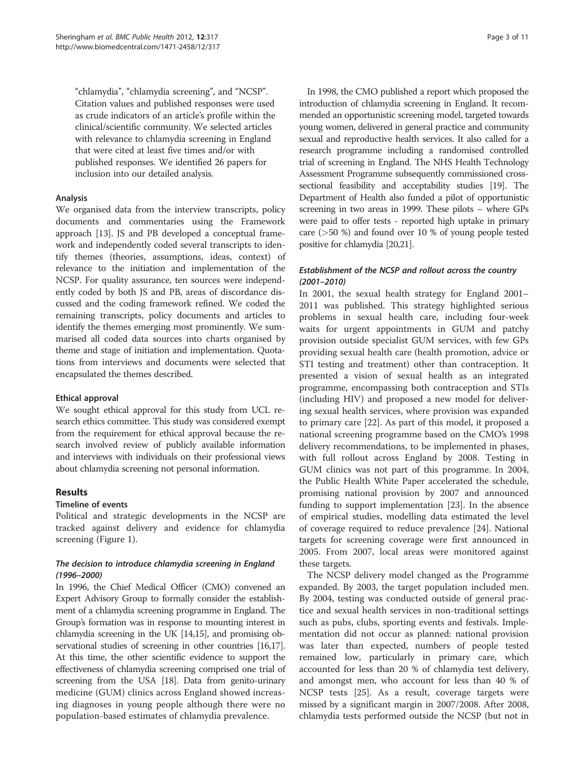"chlamydia", "chlamydia screening", and "NCSP". Citation values and published responses were used as crude indicators of an article's profile within the clinical/scientific community. We selected articles with relevance to chlamydia screening in England that were cited at least five times and/or with published responses. We identified 26 papers for inclusion into our detailed analysis.

# Analysis

We organised data from the interview transcripts, policy documents and commentaries using the Framework approach [\[13](#page-9-0)]. JS and PB developed a conceptual framework and independently coded several transcripts to identify themes (theories, assumptions, ideas, context) of relevance to the initiation and implementation of the NCSP. For quality assurance, ten sources were independently coded by both JS and PB, areas of discordance discussed and the coding framework refined. We coded the remaining transcripts, policy documents and articles to identify the themes emerging most prominently. We summarised all coded data sources into charts organised by theme and stage of initiation and implementation. Quotations from interviews and documents were selected that encapsulated the themes described.

# Ethical approval

We sought ethical approval for this study from UCL research ethics committee. This study was considered exempt from the requirement for ethical approval because the research involved review of publicly available information and interviews with individuals on their professional views about chlamydia screening not personal information.

# Results

## Timeline of events

Political and strategic developments in the NCSP are tracked against delivery and evidence for chlamydia screening (Figure [1\)](#page-3-0).

# The decision to introduce chlamydia screening in England (1996–2000)

In 1996, the Chief Medical Officer (CMO) convened an Expert Advisory Group to formally consider the establishment of a chlamydia screening programme in England. The Group's formation was in response to mounting interest in chlamydia screening in the UK [\[14,15\]](#page-9-0), and promising observational studies of screening in other countries [[16,17](#page-9-0)]. At this time, the other scientific evidence to support the effectiveness of chlamydia screening comprised one trial of screening from the USA [\[18\]](#page-9-0). Data from genito-urinary medicine (GUM) clinics across England showed increasing diagnoses in young people although there were no population-based estimates of chlamydia prevalence.

In 1998, the CMO published a report which proposed the introduction of chlamydia screening in England. It recommended an opportunistic screening model, targeted towards young women, delivered in general practice and community sexual and reproductive health services. It also called for a research programme including a randomised controlled trial of screening in England. The NHS Health Technology Assessment Programme subsequently commissioned crosssectional feasibility and acceptability studies [[19](#page-9-0)]. The Department of Health also funded a pilot of opportunistic screening in two areas in 1999. These pilots – where GPs were paid to offer tests - reported high uptake in primary care (>50 %) and found over 10 % of young people tested positive for chlamydia [\[20,21\]](#page-9-0).

# Establishment of the NCSP and rollout across the country (2001–2010)

In 2001, the sexual health strategy for England 2001– 2011 was published. This strategy highlighted serious problems in sexual health care, including four-week waits for urgent appointments in GUM and patchy provision outside specialist GUM services, with few GPs providing sexual health care (health promotion, advice or STI testing and treatment) other than contraception. It presented a vision of sexual health as an integrated programme, encompassing both contraception and STIs (including HIV) and proposed a new model for delivering sexual health services, where provision was expanded to primary care [\[22\]](#page-9-0). As part of this model, it proposed a national screening programme based on the CMO's 1998 delivery recommendations, to be implemented in phases, with full rollout across England by 2008. Testing in GUM clinics was not part of this programme. In 2004, the Public Health White Paper accelerated the schedule, promising national provision by 2007 and announced funding to support implementation [[23](#page-9-0)]. In the absence of empirical studies, modelling data estimated the level of coverage required to reduce prevalence [\[24\]](#page-9-0). National targets for screening coverage were first announced in 2005. From 2007, local areas were monitored against these targets.

The NCSP delivery model changed as the Programme expanded. By 2003, the target population included men. By 2004, testing was conducted outside of general practice and sexual health services in non-traditional settings such as pubs, clubs, sporting events and festivals. Implementation did not occur as planned: national provision was later than expected, numbers of people tested remained low, particularly in primary care, which accounted for less than 20 % of chlamydia test delivery, and amongst men, who account for less than 40 % of NCSP tests [\[25](#page-9-0)]. As a result, coverage targets were missed by a significant margin in 2007/2008. After 2008, chlamydia tests performed outside the NCSP (but not in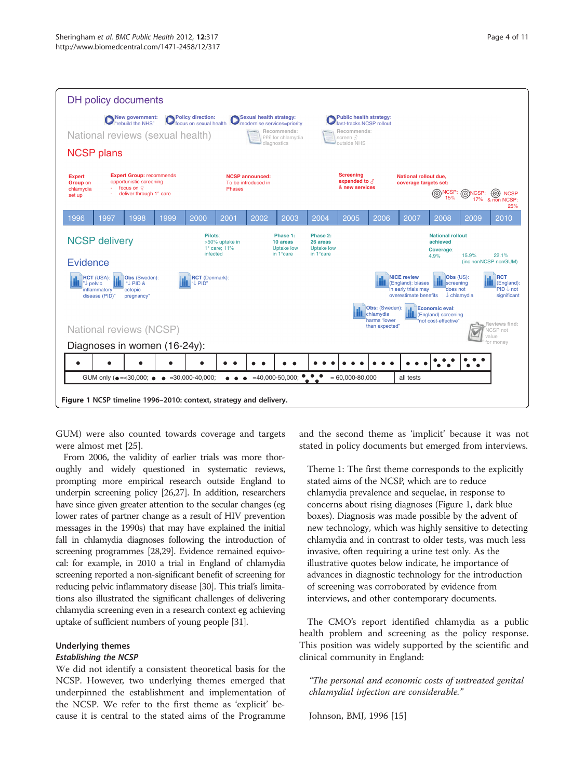<span id="page-3-0"></span>

GUM) were also counted towards coverage and targets were almost met [[25](#page-9-0)].

From 2006, the validity of earlier trials was more thoroughly and widely questioned in systematic reviews, prompting more empirical research outside England to underpin screening policy [\[26,27\]](#page-9-0). In addition, researchers have since given greater attention to the secular changes (eg lower rates of partner change as a result of HIV prevention messages in the 1990s) that may have explained the initial fall in chlamydia diagnoses following the introduction of screening programmes [\[28,29\]](#page-9-0). Evidence remained equivocal: for example, in 2010 a trial in England of chlamydia screening reported a non-significant benefit of screening for reducing pelvic inflammatory disease [[30](#page-9-0)]. This trial's limitations also illustrated the significant challenges of delivering chlamydia screening even in a research context eg achieving uptake of sufficient numbers of young people [\[31\]](#page-9-0).

# Underlying themes

# Establishing the NCSP

We did not identify a consistent theoretical basis for the NCSP. However, two underlying themes emerged that underpinned the establishment and implementation of the NCSP. We refer to the first theme as 'explicit' because it is central to the stated aims of the Programme and the second theme as 'implicit' because it was not stated in policy documents but emerged from interviews.

Theme 1: The first theme corresponds to the explicitly stated aims of the NCSP, which are to reduce chlamydia prevalence and sequelae, in response to concerns about rising diagnoses (Figure 1, dark blue boxes). Diagnosis was made possible by the advent of new technology, which was highly sensitive to detecting chlamydia and in contrast to older tests, was much less invasive, often requiring a urine test only. As the illustrative quotes below indicate, he importance of advances in diagnostic technology for the introduction of screening was corroborated by evidence from interviews, and other contemporary documents.

The CMO's report identified chlamydia as a public health problem and screening as the policy response. This position was widely supported by the scientific and clinical community in England:

"The personal and economic costs of untreated genital chlamydial infection are considerable."

Johnson, BMJ, 1996 [\[15](#page-9-0)]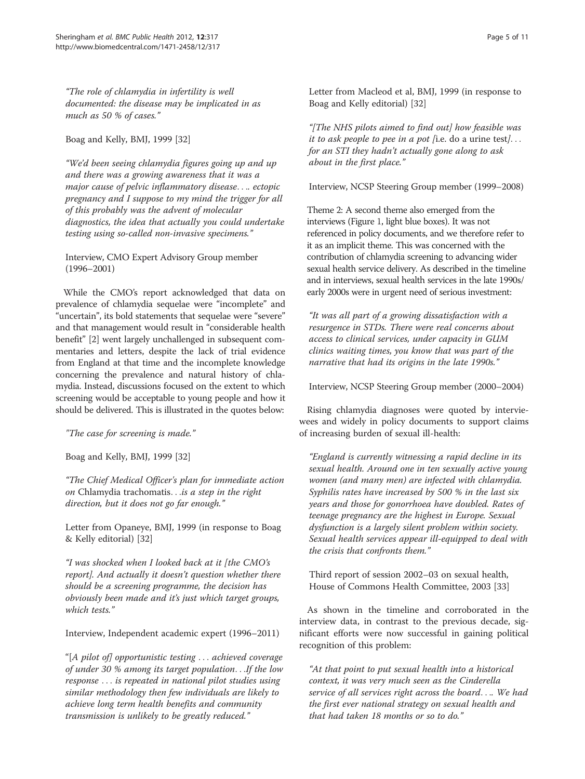"The role of chlamydia in infertility is well documented: the disease may be implicated in as much as 50 % of cases."

Boag and Kelly, BMJ, 1999 [\[32](#page-9-0)]

"We'd been seeing chlamydia figures going up and up and there was a growing awareness that it was a major cause of pelvic inflammatory disease.... ectopic pregnancy and I suppose to my mind the trigger for all of this probably was the advent of molecular diagnostics, the idea that actually you could undertake testing using so-called non-invasive specimens."

Interview, CMO Expert Advisory Group member (1996–2001)

While the CMO's report acknowledged that data on prevalence of chlamydia sequelae were "incomplete" and "uncertain", its bold statements that sequelae were "severe" and that management would result in "considerable health benefit" [\[2](#page-9-0)] went largely unchallenged in subsequent commentaries and letters, despite the lack of trial evidence from England at that time and the incomplete knowledge concerning the prevalence and natural history of chlamydia. Instead, discussions focused on the extent to which screening would be acceptable to young people and how it should be delivered. This is illustrated in the quotes below:

"The case for screening is made."

Boag and Kelly, BMJ, 1999 [\[32](#page-9-0)]

"The Chief Medical Officer's plan for immediate action on Chlamydia trachomatis...is a step in the right direction, but it does not go far enough."

Letter from Opaneye, BMJ, 1999 (in response to Boag & Kelly editorial) [[32](#page-9-0)]

"I was shocked when I looked back at it [the CMO's report]. And actually it doesn't question whether there should be a screening programme, the decision has obviously been made and it's just which target groups, which tests."

Interview, Independent academic expert (1996–2011)

"[A pilot of] opportunistic testing ... achieved coverage of under 30 % among its target population...If the low response ... is repeated in national pilot studies using similar methodology then few individuals are likely to achieve long term health benefits and community transmission is unlikely to be greatly reduced."

Letter from Macleod et al, BMJ, 1999 (in response to Boag and Kelly editorial) [\[32](#page-9-0)]

"[The NHS pilots aimed to find out] how feasible was it to ask people to pee in a pot  $(i.e.$  do a urine test $j.$ ... for an STI they hadn't actually gone along to ask about in the first place."

Interview, NCSP Steering Group member (1999–2008)

Theme 2: A second theme also emerged from the interviews (Figure [1](#page-3-0), light blue boxes). It was not referenced in policy documents, and we therefore refer to it as an implicit theme. This was concerned with the contribution of chlamydia screening to advancing wider sexual health service delivery. As described in the timeline and in interviews, sexual health services in the late 1990s/ early 2000s were in urgent need of serious investment:

"It was all part of a growing dissatisfaction with a resurgence in STDs. There were real concerns about access to clinical services, under capacity in GUM clinics waiting times, you know that was part of the narrative that had its origins in the late 1990s."

Interview, NCSP Steering Group member (2000–2004)

Rising chlamydia diagnoses were quoted by interviewees and widely in policy documents to support claims of increasing burden of sexual ill-health:

"England is currently witnessing a rapid decline in its sexual health. Around one in ten sexually active young women (and many men) are infected with chlamydia. Syphilis rates have increased by 500 % in the last six years and those for gonorrhoea have doubled. Rates of teenage pregnancy are the highest in Europe. Sexual dysfunction is a largely silent problem within society. Sexual health services appear ill-equipped to deal with the crisis that confronts them."

Third report of session 2002–03 on sexual health, House of Commons Health Committee, 2003 [\[33\]](#page-9-0)

As shown in the timeline and corroborated in the interview data, in contrast to the previous decade, significant efforts were now successful in gaining political recognition of this problem:

"At that point to put sexual health into a historical context, it was very much seen as the Cinderella service of all services right across the board.... We had the first ever national strategy on sexual health and that had taken 18 months or so to do."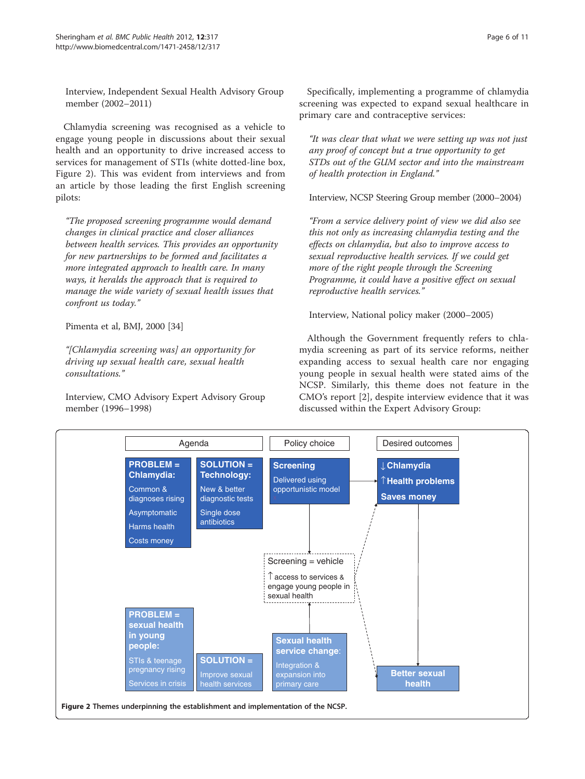Interview, Independent Sexual Health Advisory Group member (2002–2011)

Chlamydia screening was recognised as a vehicle to engage young people in discussions about their sexual health and an opportunity to drive increased access to services for management of STIs (white dotted-line box, Figure 2). This was evident from interviews and from an article by those leading the first English screening pilots:

"The proposed screening programme would demand changes in clinical practice and closer alliances between health services. This provides an opportunity for new partnerships to be formed and facilitates a more integrated approach to health care. In many ways, it heralds the approach that is required to manage the wide variety of sexual health issues that confront us today."

Pimenta et al, BMJ, 2000 [\[34\]](#page-9-0)

"[Chlamydia screening was] an opportunity for driving up sexual health care, sexual health consultations."

Interview, CMO Advisory Expert Advisory Group member (1996–1998)

Specifically, implementing a programme of chlamydia screening was expected to expand sexual healthcare in primary care and contraceptive services:

"It was clear that what we were setting up was not just any proof of concept but a true opportunity to get STDs out of the GUM sector and into the mainstream of health protection in England."

Interview, NCSP Steering Group member (2000–2004)

"From a service delivery point of view we did also see this not only as increasing chlamydia testing and the effects on chlamydia, but also to improve access to sexual reproductive health services. If we could get more of the right people through the Screening Programme, it could have a positive effect on sexual reproductive health services."

Interview, National policy maker (2000–2005)

Although the Government frequently refers to chlamydia screening as part of its service reforms, neither expanding access to sexual health care nor engaging young people in sexual health were stated aims of the NCSP. Similarly, this theme does not feature in the CMO's report [[2\]](#page-9-0), despite interview evidence that it was discussed within the Expert Advisory Group:

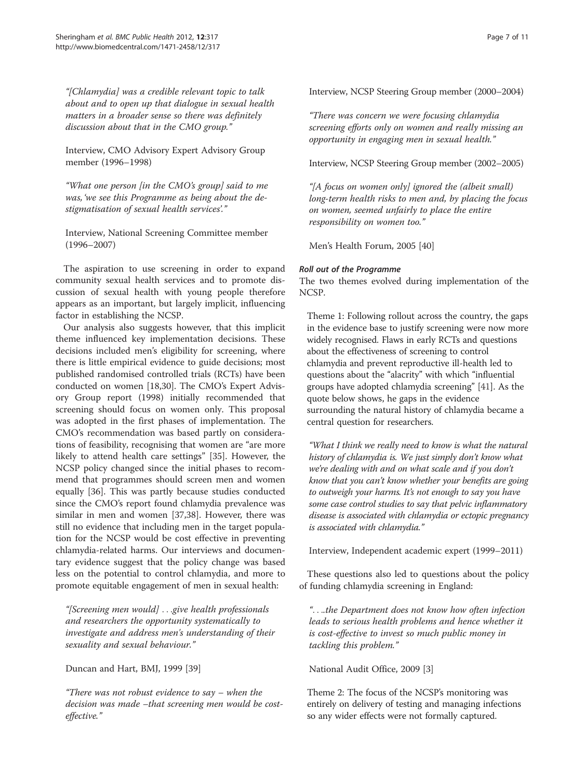"[Chlamydia] was a credible relevant topic to talk about and to open up that dialogue in sexual health matters in a broader sense so there was definitely discussion about that in the CMO group."

Interview, CMO Advisory Expert Advisory Group member (1996–1998)

"What one person [in the CMO's group] said to me was, 'we see this Programme as being about the destigmatisation of sexual health services'."

Interview, National Screening Committee member (1996–2007)

The aspiration to use screening in order to expand community sexual health services and to promote discussion of sexual health with young people therefore appears as an important, but largely implicit, influencing factor in establishing the NCSP.

Our analysis also suggests however, that this implicit theme influenced key implementation decisions. These decisions included men's eligibility for screening, where there is little empirical evidence to guide decisions; most published randomised controlled trials (RCTs) have been conducted on women [[18,30](#page-9-0)]. The CMO's Expert Advisory Group report (1998) initially recommended that screening should focus on women only. This proposal was adopted in the first phases of implementation. The CMO's recommendation was based partly on considerations of feasibility, recognising that women are "are more likely to attend health care settings" [\[35](#page-9-0)]. However, the NCSP policy changed since the initial phases to recommend that programmes should screen men and women equally [[36](#page-9-0)]. This was partly because studies conducted since the CMO's report found chlamydia prevalence was similar in men and women [[37,38\]](#page-9-0). However, there was still no evidence that including men in the target population for the NCSP would be cost effective in preventing chlamydia-related harms. Our interviews and documentary evidence suggest that the policy change was based less on the potential to control chlamydia, and more to promote equitable engagement of men in sexual health:

"[Screening men would] ...give health professionals and researchers the opportunity systematically to investigate and address men's understanding of their sexuality and sexual behaviour."

Duncan and Hart, BMJ, 1999 [[39\]](#page-9-0)

"There was not robust evidence to say – when the decision was made –that screening men would be costeffective."

Interview, NCSP Steering Group member (2000–2004)

"There was concern we were focusing chlamydia screening efforts only on women and really missing an opportunity in engaging men in sexual health."

Interview, NCSP Steering Group member (2002–2005)

"[A focus on women only] ignored the (albeit small) long-term health risks to men and, by placing the focus on women, seemed unfairly to place the entire responsibility on women too."

Men's Health Forum, 2005 [[40](#page-9-0)]

## Roll out of the Programme

The two themes evolved during implementation of the NCSP.

Theme 1: Following rollout across the country, the gaps in the evidence base to justify screening were now more widely recognised. Flaws in early RCTs and questions about the effectiveness of screening to control chlamydia and prevent reproductive ill-health led to questions about the "alacrity" with which "influential groups have adopted chlamydia screening" [[41](#page-9-0)]. As the quote below shows, he gaps in the evidence surrounding the natural history of chlamydia became a central question for researchers.

"What I think we really need to know is what the natural history of chlamydia is. We just simply don't know what we're dealing with and on what scale and if you don't know that you can't know whether your benefits are going to outweigh your harms. It's not enough to say you have some case control studies to say that pelvic inflammatory disease is associated with chlamydia or ectopic pregnancy is associated with chlamydia."

Interview, Independent academic expert (1999–2011)

These questions also led to questions about the policy of funding chlamydia screening in England:

"....the Department does not know how often infection leads to serious health problems and hence whether it is cost-effective to invest so much public money in tackling this problem."

National Audit Office, 2009 [[3\]](#page-9-0)

Theme 2: The focus of the NCSP's monitoring was entirely on delivery of testing and managing infections so any wider effects were not formally captured.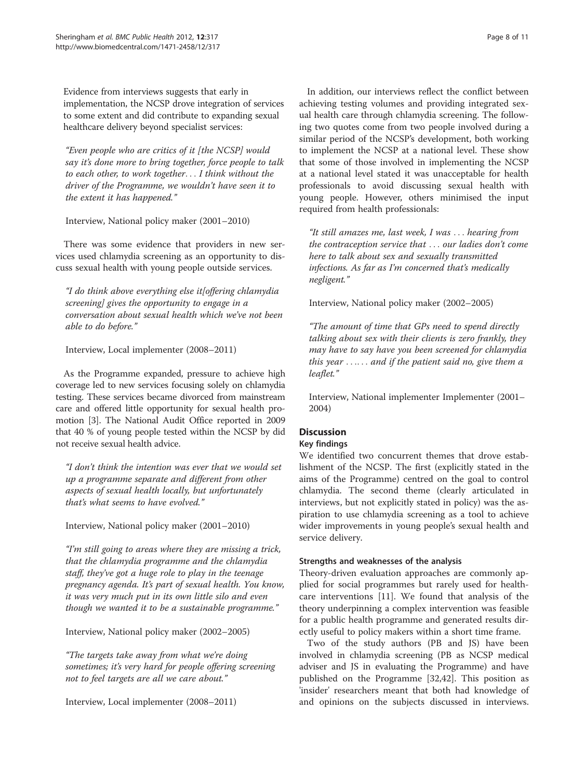Evidence from interviews suggests that early in implementation, the NCSP drove integration of services to some extent and did contribute to expanding sexual healthcare delivery beyond specialist services:

"Even people who are critics of it [the NCSP] would say it's done more to bring together, force people to talk to each other, to work together... I think without the driver of the Programme, we wouldn't have seen it to the extent it has happened."

Interview, National policy maker (2001–2010)

There was some evidence that providers in new services used chlamydia screening as an opportunity to discuss sexual health with young people outside services.

"I do think above everything else it[offering chlamydia screening] gives the opportunity to engage in a conversation about sexual health which we've not been able to do before."

Interview, Local implementer (2008–2011)

As the Programme expanded, pressure to achieve high coverage led to new services focusing solely on chlamydia testing. These services became divorced from mainstream care and offered little opportunity for sexual health promotion [\[3\]](#page-9-0). The National Audit Office reported in 2009 that 40 % of young people tested within the NCSP by did not receive sexual health advice.

"I don't think the intention was ever that we would set up a programme separate and different from other aspects of sexual health locally, but unfortunately that's what seems to have evolved."

Interview, National policy maker (2001–2010)

"I'm still going to areas where they are missing a trick, that the chlamydia programme and the chlamydia staff, they've got a huge role to play in the teenage pregnancy agenda. It's part of sexual health. You know, it was very much put in its own little silo and even though we wanted it to be a sustainable programme."

Interview, National policy maker (2002–2005)

"The targets take away from what we're doing sometimes; it's very hard for people offering screening not to feel targets are all we care about."

Interview, Local implementer (2008–2011)

In addition, our interviews reflect the conflict between achieving testing volumes and providing integrated sexual health care through chlamydia screening. The following two quotes come from two people involved during a similar period of the NCSP's development, both working to implement the NCSP at a national level. These show that some of those involved in implementing the NCSP at a national level stated it was unacceptable for health professionals to avoid discussing sexual health with young people. However, others minimised the input required from health professionals:

"It still amazes me, last week, I was ... hearing from the contraception service that ... our ladies don't come here to talk about sex and sexually transmitted infections. As far as I'm concerned that's medically negligent."

Interview, National policy maker (2002–2005)

"The amount of time that GPs need to spend directly talking about sex with their clients is zero frankly, they may have to say have you been screened for chlamydia this year  $\dots$  and if the patient said no, give them a leaflet."

Interview, National implementer Implementer (2001– 2004)

# **Discussion**

# Key findings

We identified two concurrent themes that drove establishment of the NCSP. The first (explicitly stated in the aims of the Programme) centred on the goal to control chlamydia. The second theme (clearly articulated in interviews, but not explicitly stated in policy) was the aspiration to use chlamydia screening as a tool to achieve wider improvements in young people's sexual health and service delivery.

# Strengths and weaknesses of the analysis

Theory-driven evaluation approaches are commonly applied for social programmes but rarely used for healthcare interventions [\[11\]](#page-9-0). We found that analysis of the theory underpinning a complex intervention was feasible for a public health programme and generated results directly useful to policy makers within a short time frame.

Two of the study authors (PB and JS) have been involved in chlamydia screening (PB as NCSP medical adviser and JS in evaluating the Programme) and have published on the Programme [[32,42](#page-9-0)]. This position as 'insider' researchers meant that both had knowledge of and opinions on the subjects discussed in interviews.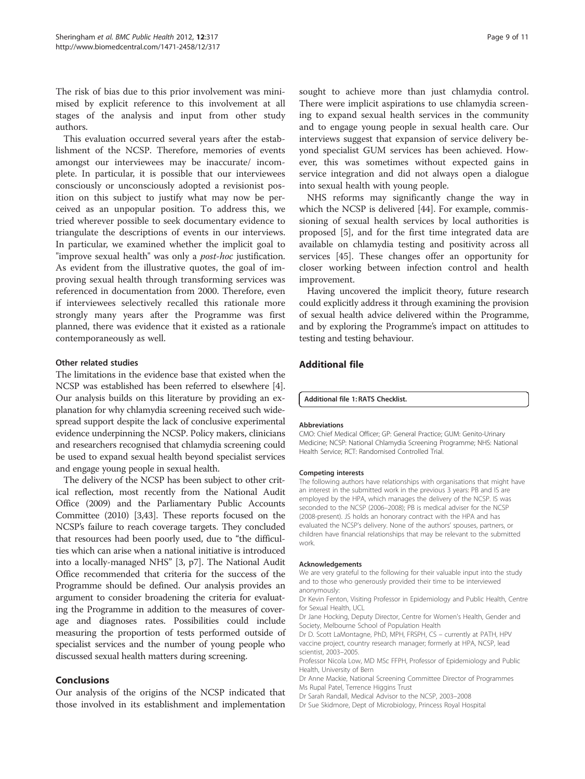<span id="page-8-0"></span>The risk of bias due to this prior involvement was minimised by explicit reference to this involvement at all stages of the analysis and input from other study authors.

This evaluation occurred several years after the establishment of the NCSP. Therefore, memories of events amongst our interviewees may be inaccurate/ incomplete. In particular, it is possible that our interviewees consciously or unconsciously adopted a revisionist position on this subject to justify what may now be perceived as an unpopular position. To address this, we tried wherever possible to seek documentary evidence to triangulate the descriptions of events in our interviews. In particular, we examined whether the implicit goal to "improve sexual health" was only a post-hoc justification. As evident from the illustrative quotes, the goal of improving sexual health through transforming services was referenced in documentation from 2000. Therefore, even if interviewees selectively recalled this rationale more strongly many years after the Programme was first planned, there was evidence that it existed as a rationale contemporaneously as well.

## Other related studies

The limitations in the evidence base that existed when the NCSP was established has been referred to elsewhere [[4](#page-9-0)]. Our analysis builds on this literature by providing an explanation for why chlamydia screening received such widespread support despite the lack of conclusive experimental evidence underpinning the NCSP. Policy makers, clinicians and researchers recognised that chlamydia screening could be used to expand sexual health beyond specialist services and engage young people in sexual health.

The delivery of the NCSP has been subject to other critical reflection, most recently from the National Audit Office (2009) and the Parliamentary Public Accounts Committee (2010) [\[3,43\]](#page-9-0). These reports focused on the NCSP's failure to reach coverage targets. They concluded that resources had been poorly used, due to "the difficulties which can arise when a national initiative is introduced into a locally-managed NHS" [3, p7]. The National Audit Office recommended that criteria for the success of the Programme should be defined. Our analysis provides an argument to consider broadening the criteria for evaluating the Programme in addition to the measures of coverage and diagnoses rates. Possibilities could include measuring the proportion of tests performed outside of specialist services and the number of young people who discussed sexual health matters during screening.

# Conclusions

Our analysis of the origins of the NCSP indicated that those involved in its establishment and implementation sought to achieve more than just chlamydia control. There were implicit aspirations to use chlamydia screening to expand sexual health services in the community and to engage young people in sexual health care. Our interviews suggest that expansion of service delivery beyond specialist GUM services has been achieved. However, this was sometimes without expected gains in service integration and did not always open a dialogue into sexual health with young people.

NHS reforms may significantly change the way in which the NCSP is delivered [[44](#page-10-0)]. For example, commissioning of sexual health services by local authorities is proposed [[5\]](#page-9-0), and for the first time integrated data are available on chlamydia testing and positivity across all services [\[45\]](#page-10-0). These changes offer an opportunity for closer working between infection control and health improvement.

Having uncovered the implicit theory, future research could explicitly address it through examining the provision of sexual health advice delivered within the Programme, and by exploring the Programme's impact on attitudes to testing and testing behaviour.

# Additional file

[Additional file 1:](http://www.biomedcentral.com/content/supplementary/1471-2458-12-317-S1.docx) RATS Checklist.

## Abbreviations

CMO: Chief Medical Officer; GP: General Practice; GUM: Genito-Urinary Medicine; NCSP: National Chlamydia Screening Programme; NHS: National Health Service; RCT: Randomised Controlled Trial.

## Competing interests

The following authors have relationships with organisations that might have an interest in the submitted work in the previous 3 years: PB and IS are employed by the HPA, which manages the delivery of the NCSP. IS was seconded to the NCSP (2006–2008); PB is medical adviser for the NCSP (2008-present). JS holds an honorary contract with the HPA and has evaluated the NCSP's delivery. None of the authors' spouses, partners, or children have financial relationships that may be relevant to the submitted work.

## Acknowledgements

We are very grateful to the following for their valuable input into the study and to those who generously provided their time to be interviewed anonymously:

Dr Kevin Fenton, Visiting Professor in Epidemiology and Public Health, Centre for Sexual Health, UCL

Dr Jane Hocking, Deputy Director, Centre for Women's Health, Gender and Society, Melbourne School of Population Health

Dr D. Scott LaMontagne, PhD, MPH, FRSPH, CS – currently at PATH, HPV vaccine project, country research manager; formerly at HPA, NCSP, lead scientist, 2003–2005.

Professor Nicola Low, MD MSc FFPH, Professor of Epidemiology and Public Health, University of Bern

Dr Anne Mackie, National Screening Committee Director of Programmes Ms Rupal Patel, Terrence Higgins Trust

Dr Sarah Randall, Medical Advisor to the NCSP, 2003–2008

- 
- Dr Sue Skidmore, Dept of Microbiology, Princess Royal Hospital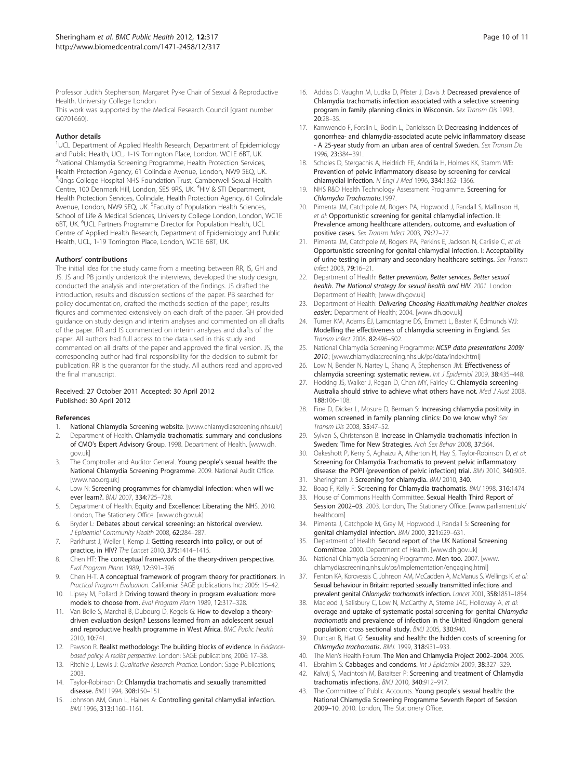<span id="page-9-0"></span>Professor Judith Stephenson, Margaret Pyke Chair of Sexual & Reproductive Health, University College London

This work was supported by the Medical Research Council [grant number G0701660].

## Author details

<sup>1</sup>UCL Department of Applied Health Research, Department of Epidemiology and Public Health, UCL, 1-19 Torrington Place, London, WC1E 6BT, UK. <sup>2</sup>National Chlamydia Screening Programme, Health Protection Services, Health Protection Agency, 61 Colindale Avenue, London, NW9 5EQ, UK. <sup>3</sup>Kings College Hospital NHS Foundation Trust, Camberwell Sexual Health Centre, 100 Denmark Hill, London, SE5 9RS, UK. <sup>4</sup>HIV & STI Department, Health Protection Services, Colindale, Health Protection Agency, 61 Colindale Avenue, London, NW9 5EQ, UK. <sup>5</sup>Faculty of Population Health Sciences, School of Life & Medical Sciences, University College London, London, WC1E 6BT, UK. <sup>6</sup>UCL Partners Programme Director for Population Health, UCL Centre of Applied Health Research, Department of Epidemiology and Public Health, UCL, 1-19 Torrington Place, London, WC1E 6BT, UK.

#### Authors' contributions

The initial idea for the study came from a meeting between RR, IS, GH and JS. JS and PB jointly undertook the interviews, developed the study design, conducted the analysis and interpretation of the findings. JS drafted the introduction, results and discussion sections of the paper. PB searched for policy documentation, drafted the methods section of the paper, results figures and commented extensively on each draft of the paper. GH provided guidance on study design and interim analyses and commented on all drafts of the paper. RR and IS commented on interim analyses and drafts of the paper. All authors had full access to the data used in this study and commented on all drafts of the paper and approved the final version. JS, the corresponding author had final responsibility for the decision to submit for publication. RR is the guarantor for the study. All authors read and approved the final manuscript.

### Received: 27 October 2011 Accepted: 30 April 2012 Published: 30 April 2012

#### References

- 1. National Chlamydia Screening website. [[www.chlamydiascreening.nhs.uk/\]](http://www.chlamydiascreening.nhs.uk/)
- 2. Department of Health. Chlamydia trachomatis: summary and conclusions of CMO's Expert Advisory Group. 1998. Department of Health. [[www.dh.](http://www.dh.gov.uk) [gov.uk](http://www.dh.gov.uk)]
- 3. The Comptroller and Auditor General. Young people's sexual health: the National Chlamydia Screening Programme. 2009. National Audit Office. [\[www.nao.org.uk](http://www.nao.org.uk)]
- 4. Low N: Screening programmes for chlamydial infection: when will we ever learn?. BMJ 2007, 334:725–728.
- 5. Department of Health. Equity and Excellence: Liberating the NHS. 2010. London, The Stationery Office. [[www.dh.gov.uk\]](http://www.dh.gov.uk)
- Bryder L: Debates about cervical screening: an historical overview. J Epidemiol Community Health 2008, 62:284–287.
- 7. Parkhurst J, Weller I, Kemp J: Getting research into policy, or out of practice, in HIV? The Lancet 2010, 375:1414–1415.
- 8. Chen HT: The conceptual framework of the theory-driven perspective. Eval Program Plann 1989, 12:391–396.
- Chen H-T. A conceptual framework of program theory for practitioners. In Practical Program Evaluation. California: SAGE publications Inc; 2005: 15–42.
- 10. Lipsey M, Pollard J: Driving toward theory in program evaluation: more models to choose from. Eval Program Plann 1989, 12:317–328.
- 11. Van Belle S, Marchal B, Dubourg D, Kegels G: How to develop a theorydriven evaluation design? Lessons learned from an adolescent sexual and reproductive health programme in West Africa. BMC Public Health 2010, 10:741.
- 12. Pawson R. Realist methodology: The building blocks of evidence. In Evidencebased policy: A realist perspective. London: SAGE publications; 2006: 17–38.
- 13. Ritchie J, Lewis J: Qualitative Research Practice. London: Sage Publications; 2003.
- 14. Taylor-Robinson D: Chlamydia trachomatis and sexually transmitted disease. BMJ 1994, 308:150–151.
- 15. Johnson AM, Grun L, Haines A: Controlling genital chlamydial infection. BMJ 1996, 313:1160–1161.
- 16. Addiss D, Vaughn M, Ludka D, Pfister J, Davis J: Decreased prevalence of Chlamydia trachomatis infection associated with a selective screening program in family planning clinics in Wisconsin. Sex Transm Dis 1993, 20:28–35.
- 17. Kamwendo F, Forslin L, Bodin L, Danielsson D: Decreasing incidences of gonorrhea- and chlamydia-associated acute pelvic inflammatory disease - A 25-year study from an urban area of central Sweden. Sex Transm Dis 1996, 23:384–391.
- 18. Scholes D, Stergachis A, Heidrich FE, Andrilla H, Holmes KK, Stamm WE: Prevention of pelvic inflammatory disease by screening for cervical chlamydial infection. N Engl J Med 1996, 334:1362-1366.
- 19. NHS R&D Health Technology Assessment Programme. Screening for Chlamydia Trachomatis.1997.
- 20. Pimenta JM, Catchpole M, Rogers PA, Hopwood J, Randall S, Mallinson H, et al: Opportunistic screening for genital chlamydial infection. II: Prevalence among healthcare attenders, outcome, and evaluation of positive cases. Sex Transm Infect 2003, 79:22–27.
- 21. Pimenta JM, Catchpole M, Rogers PA, Perkins E, Jackson N, Carlisle C, et al: Opportunistic screening for genital chlamydial infection. I: Acceptability of urine testing in primary and secondary healthcare settings. Sex Transm Infect 2003, 79:16–21.
- 22. Department of Health: Better prevention, Better services, Better sexual health. The National strategy for sexual health and HIV. 2001. London: Department of Health; [\[www.dh.gov.uk](http://www.dh.gov.uk)]
- 23. Department of Health: Delivering Choosing Health: making healthier choices easier.: Department of Health; 2004. [\[www.dh.gov.uk](http://www.dh.gov.uk)]
- 24. Turner KM, Adams EJ, Lamontagne DS, Emmett L, Baster K, Edmunds WJ: Modelling the effectiveness of chlamydia screening in England. Sex Transm Infect 2006, 82:496–502.
- 25. National Chlamydia Screening Programme: NCSP data presentations 2009/ 2010.; [[www.chlamydiascreening.nhs.uk/ps/data/index.html\]](http://www.chlamydiascreening.nhs.uk/ps/data/index.html)
- 26. Low N, Bender N, Nartey L, Shang A, Stephenson JM: Effectiveness of chlamydia screening: systematic review. Int J Epidemiol 2009, 38:435-448.
- 27. Hocking JS, Walker J, Regan D, Chen MY, Fairley C: Chlamydia screening-Australia should strive to achieve what others have not. Med J Aust 2008, 188:106–108.
- 28. Fine D, Dicker L, Mosure D, Berman S: Increasing chlamydia positivity in women screened in family planning clinics: Do we know why? Sex Transm Dis 2008, 35:47–52.
- 29. Sylvan S, Christenson B: Increase in Chlamydia trachomatis Infection in Sweden: Time for New Strategies. Arch Sex Behav 2008, 37:364.
- 30. Oakeshott P, Kerry S, Aghaizu A, Atherton H, Hay S, Taylor-Robinson D, et al: Screening for Chlamydia Trachomatis to prevent pelvic inflammatory disease: the POPI (prevention of pelvic infection) trial. BMJ 2010, 340:903.
- 31. Sheringham J: Screening for chlamydia. BMJ 2010, 340.
- 32. Boag F, Kelly F: Screening for Chlamydia trachomatis. BMJ 1998, 316:1474.
- 33. House of Commons Health Committee. Sexual Health Third Report of Session 2002-03. 2003. London, The Stationery Office. [\[www.parliament.uk/](http://www.parliament.uk/healthcom) [healthcom](http://www.parliament.uk/healthcom)]
- 34. Pimenta J, Catchpole M, Gray M, Hopwood J, Randall S: Screening for genital chlamydial infection. BMJ 2000, 321:629–631.
- 35. Department of Health. Second report of the UK National Screening Committee. 2000. Department of Health. [[www.dh.gov.uk\]](http://www.dh.gov.uk)
- 36. National Chlamydia Screening Programme. Men too. 2007. [[www.](http://www.chlamydiascreening.nhs.uk/ps/implementation/engaging.html) [chlamydiascreening.nhs.uk/ps/implementation/engaging.html\]](http://www.chlamydiascreening.nhs.uk/ps/implementation/engaging.html)
- 37. Fenton KA, Korovessis C, Johnson AM, McCadden A, McManus S, Wellings K, et al: Sexual behaviour in Britain: reported sexually transmitted infections and prevalent genital Chlamydia trachomatis infection. Lancet 2001, 358:1851–1854.
- 38. Macleod J, Salisbury C, Low N, McCarthy A, Sterne JAC, Holloway A, et al: overage and uptake of systematic postal screening for genital Chlamydia trachomatis and prevalence of infection in the United Kingdom general population: cross sectional study. BMJ 2005, 330:940.
- 39. Duncan B, Hart G: Sexuality and health: the hidden costs of screening for Chlamydia trachomatis. BMJ. 1999, 318:931–933.
- 40. The Men's Health Forum. The Men and Chlamydia Project 2002–2004. 2005.
- 41. Ebrahim S: Cabbages and condoms. Int J Epidemiol 2009, 38:327-329.
- 42. Kalwij S, Macintosh M, Baraitser P: Screening and treatment of Chlamydia trachomatis infections. BMJ 2010, 340:912–917.
- 43. The Committee of Public Accounts. Young people's sexual health: the National Chlamydia Screening Programme Seventh Report of Session 2009–10. 2010. London, The Stationery Office.